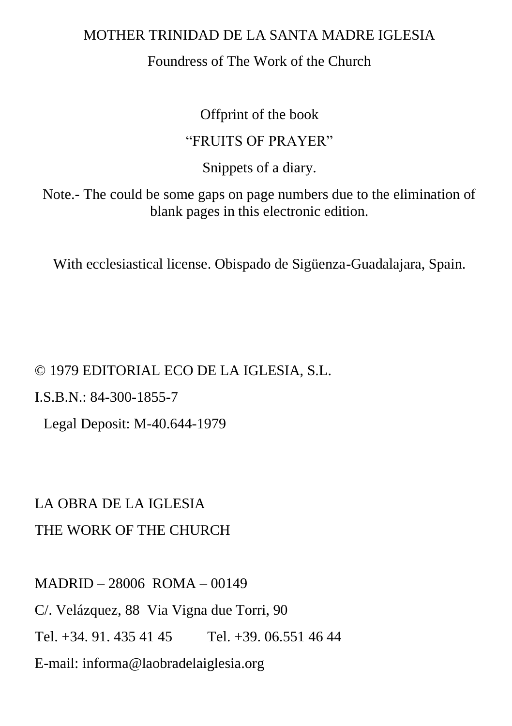#### MOTHER TRINIDAD DE LA SANTA MADRE IGLESIA

#### Foundress of The Work of the Church

Offprint of the book

#### "FRUITS OF PRAYER"

Snippets of a diary.

Note.- The could be some gaps on page numbers due to the elimination of blank pages in this electronic edition.

With ecclesiastical license. Obispado de Sigüenza-Guadalajara, Spain.

© 1979 EDITORIAL ECO DE LA IGLESIA, S.L. I.S.B.N.: 84-300-1855-7 Legal Deposit: M-40.644-1979

# LA OBRA DE LA IGLESIA THE WORK OF THE CHURCH

MADRID – 28006 ROMA – 00149 C/. Velázquez, 88 Via Vigna due Torri, 90 Tel. +34. 91. 435.41.45 Tel. +39. 06.551.46.44 E-mail: informa@laobradelaiglesia.org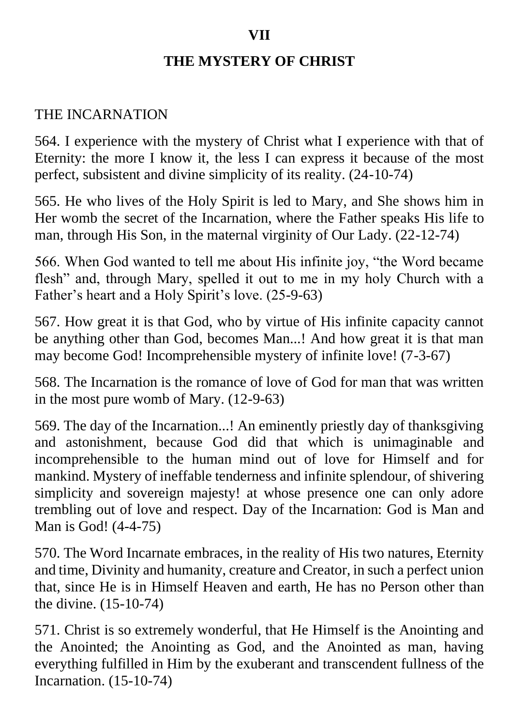### **THE MYSTERY OF CHRIST**

#### THE INCARNATION

564. I experience with the mystery of Christ what I experience with that of Eternity: the more I know it, the less I can express it because of the most perfect, subsistent and divine simplicity of its reality. (24-10-74)

565. He who lives of the Holy Spirit is led to Mary, and She shows him in Her womb the secret of the Incarnation, where the Father speaks His life to man, through His Son, in the maternal virginity of Our Lady. (22-12-74)

566. When God wanted to tell me about His infinite joy, "the Word became flesh" and, through Mary, spelled it out to me in my holy Church with a Father's heart and a Holy Spirit's love. (25-9-63)

567. How great it is that God, who by virtue of His infinite capacity cannot be anything other than God, becomes Man...! And how great it is that man may become God! Incomprehensible mystery of infinite love! (7-3-67)

568. The Incarnation is the romance of love of God for man that was written in the most pure womb of Mary. (12-9-63)

569. The day of the Incarnation...! An eminently priestly day of thanksgiving and astonishment, because God did that which is unimaginable and incomprehensible to the human mind out of love for Himself and for mankind. Mystery of ineffable tenderness and infinite splendour, of shivering simplicity and sovereign majesty! at whose presence one can only adore trembling out of love and respect. Day of the Incarnation: God is Man and Man is God! (4-4-75)

570. The Word Incarnate embraces, in the reality of His two natures, Eternity and time, Divinity and humanity, creature and Creator, in such a perfect union that, since He is in Himself Heaven and earth, He has no Person other than the divine. (15-10-74)

571. Christ is so extremely wonderful, that He Himself is the Anointing and the Anointed; the Anointing as God, and the Anointed as man, having everything fulfilled in Him by the exuberant and transcendent fullness of the Incarnation. (15-10-74)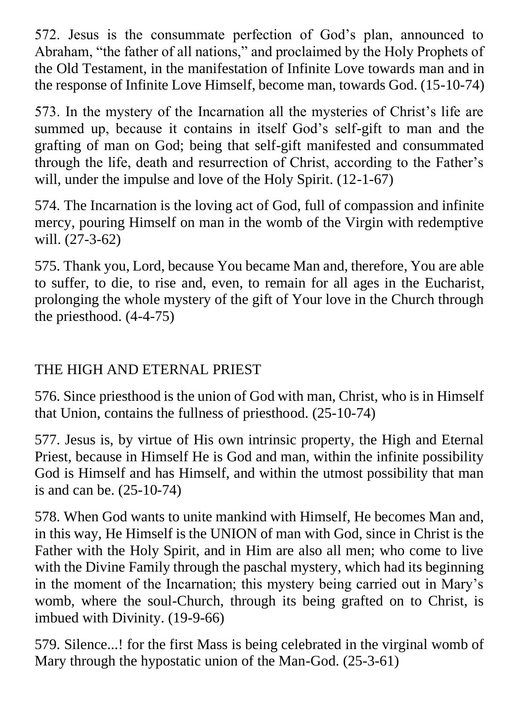572. Jesus is the consummate perfection of God's plan, announced to Abraham, "the father of all nations," and proclaimed by the Holy Prophets of the Old Testament, in the manifestation of Infinite Love towards man and in the response of Infinite Love Himself, become man, towards God. (15-10-74)

573. In the mystery of the Incarnation all the mysteries of Christ's life are summed up, because it contains in itself God's self-gift to man and the grafting of man on God; being that self-gift manifested and consummated through the life, death and resurrection of Christ, according to the Father's will, under the impulse and love of the Holy Spirit.  $(12-1-67)$ 

574. The Incarnation is the loving act of God, full of compassion and infinite mercy, pouring Himself on man in the womb of the Virgin with redemptive will. (27-3-62)

575. Thank you, Lord, because You became Man and, therefore, You are able to suffer, to die, to rise and, even, to remain for all ages in the Eucharist, prolonging the whole mystery of the gift of Your love in the Church through the priesthood. (4-4-75)

# THE HIGH AND ETERNAL PRIEST

576. Since priesthood is the union of God with man, Christ, who is in Himself that Union, contains the fullness of priesthood. (25-10-74)

577. Jesus is, by virtue of His own intrinsic property, the High and Eternal Priest, because in Himself He is God and man, within the infinite possibility God is Himself and has Himself, and within the utmost possibility that man is and can be. (25-10-74)

578. When God wants to unite mankind with Himself, He becomes Man and, in this way, He Himself is the UNION of man with God, since in Christ is the Father with the Holy Spirit, and in Him are also all men; who come to live with the Divine Family through the paschal mystery, which had its beginning in the moment of the Incarnation; this mystery being carried out in Mary's womb, where the soul-Church, through its being grafted on to Christ, is imbued with Divinity. (19-9-66)

579. Silence...! for the first Mass is being celebrated in the virginal womb of Mary through the hypostatic union of the Man-God. (25-3-61)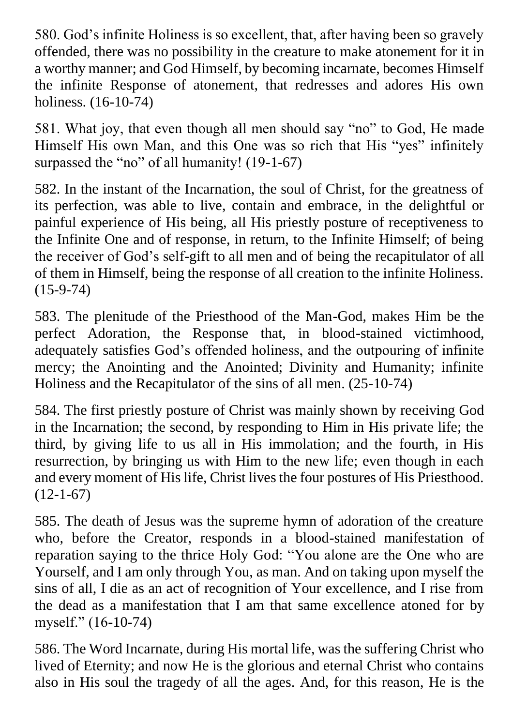580. God's infinite Holiness is so excellent, that, after having been so gravely offended, there was no possibility in the creature to make atonement for it in a worthy manner; and God Himself, by becoming incarnate, becomes Himself the infinite Response of atonement, that redresses and adores His own holiness. (16-10-74)

581. What joy, that even though all men should say "no" to God, He made Himself His own Man, and this One was so rich that His "yes" infinitely surpassed the "no" of all humanity! (19-1-67)

582. In the instant of the Incarnation, the soul of Christ, for the greatness of its perfection, was able to live, contain and embrace, in the delightful or painful experience of His being, all His priestly posture of receptiveness to the Infinite One and of response, in return, to the Infinite Himself; of being the receiver of God's self-gift to all men and of being the recapitulator of all of them in Himself, being the response of all creation to the infinite Holiness. (15-9-74)

583. The plenitude of the Priesthood of the Man-God, makes Him be the perfect Adoration, the Response that, in blood-stained victimhood, adequately satisfies God's offended holiness, and the outpouring of infinite mercy; the Anointing and the Anointed; Divinity and Humanity; infinite Holiness and the Recapitulator of the sins of all men. (25-10-74)

584. The first priestly posture of Christ was mainly shown by receiving God in the Incarnation; the second, by responding to Him in His private life; the third, by giving life to us all in His immolation; and the fourth, in His resurrection, by bringing us with Him to the new life; even though in each and every moment of His life, Christ lives the four postures of His Priesthood.  $(12-1-67)$ 

585. The death of Jesus was the supreme hymn of adoration of the creature who, before the Creator, responds in a blood-stained manifestation of reparation saying to the thrice Holy God: "You alone are the One who are Yourself, and I am only through You, as man. And on taking upon myself the sins of all, I die as an act of recognition of Your excellence, and I rise from the dead as a manifestation that I am that same excellence atoned for by myself." (16-10-74)

586. The Word Incarnate, during His mortal life, was the suffering Christ who lived of Eternity; and now He is the glorious and eternal Christ who contains also in His soul the tragedy of all the ages. And, for this reason, He is the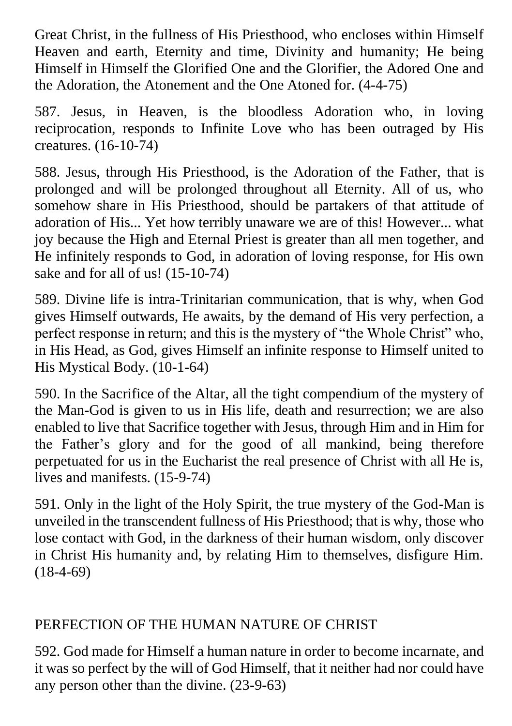Great Christ, in the fullness of His Priesthood, who encloses within Himself Heaven and earth, Eternity and time, Divinity and humanity; He being Himself in Himself the Glorified One and the Glorifier, the Adored One and the Adoration, the Atonement and the One Atoned for. (4-4-75)

587. Jesus, in Heaven, is the bloodless Adoration who, in loving reciprocation, responds to Infinite Love who has been outraged by His creatures. (16-10-74)

588. Jesus, through His Priesthood, is the Adoration of the Father, that is prolonged and will be prolonged throughout all Eternity. All of us, who somehow share in His Priesthood, should be partakers of that attitude of adoration of His... Yet how terribly unaware we are of this! However... what joy because the High and Eternal Priest is greater than all men together, and He infinitely responds to God, in adoration of loving response, for His own sake and for all of us! (15-10-74)

589. Divine life is intra-Trinitarian communication, that is why, when God gives Himself outwards, He awaits, by the demand of His very perfection, a perfect response in return; and this is the mystery of "the Whole Christ" who, in His Head, as God, gives Himself an infinite response to Himself united to His Mystical Body. (10-1-64)

590. In the Sacrifice of the Altar, all the tight compendium of the mystery of the Man-God is given to us in His life, death and resurrection; we are also enabled to live that Sacrifice together with Jesus, through Him and in Him for the Father's glory and for the good of all mankind, being therefore perpetuated for us in the Eucharist the real presence of Christ with all He is, lives and manifests. (15-9-74)

591. Only in the light of the Holy Spirit, the true mystery of the God-Man is unveiled in the transcendent fullness of His Priesthood; that is why, those who lose contact with God, in the darkness of their human wisdom, only discover in Christ His humanity and, by relating Him to themselves, disfigure Him.  $(18-4-69)$ 

#### PERFECTION OF THE HUMAN NATURE OF CHRIST

592. God made for Himself a human nature in order to become incarnate, and it was so perfect by the will of God Himself, that it neither had nor could have any person other than the divine. (23-9-63)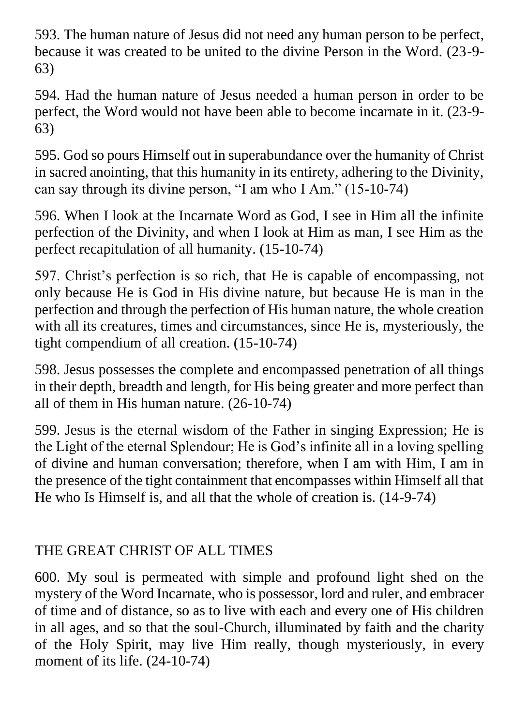593. The human nature of Jesus did not need any human person to be perfect, because it was created to be united to the divine Person in the Word. (23-9- 63)

594. Had the human nature of Jesus needed a human person in order to be perfect, the Word would not have been able to become incarnate in it. (23-9- 63)

595. God so pours Himself out in superabundance over the humanity of Christ in sacred anointing, that this humanity in its entirety, adhering to the Divinity, can say through its divine person, "I am who I Am." (15-10-74)

596. When I look at the Incarnate Word as God, I see in Him all the infinite perfection of the Divinity, and when I look at Him as man, I see Him as the perfect recapitulation of all humanity. (15-10-74)

597. Christ's perfection is so rich, that He is capable of encompassing, not only because He is God in His divine nature, but because He is man in the perfection and through the perfection of His human nature, the whole creation with all its creatures, times and circumstances, since He is, mysteriously, the tight compendium of all creation. (15-10-74)

598. Jesus possesses the complete and encompassed penetration of all things in their depth, breadth and length, for His being greater and more perfect than all of them in His human nature. (26-10-74)

599. Jesus is the eternal wisdom of the Father in singing Expression; He is the Light of the eternal Splendour; He is God's infinite all in a loving spelling of divine and human conversation; therefore, when I am with Him, I am in the presence of the tight containment that encompasses within Himself all that He who Is Himself is, and all that the whole of creation is. (14-9-74)

# THE GREAT CHRIST OF ALL TIMES

600. My soul is permeated with simple and profound light shed on the mystery of the Word Incarnate, who is possessor, lord and ruler, and embracer of time and of distance, so as to live with each and every one of His children in all ages, and so that the soul-Church, illuminated by faith and the charity of the Holy Spirit, may live Him really, though mysteriously, in every moment of its life.  $(24-10-74)$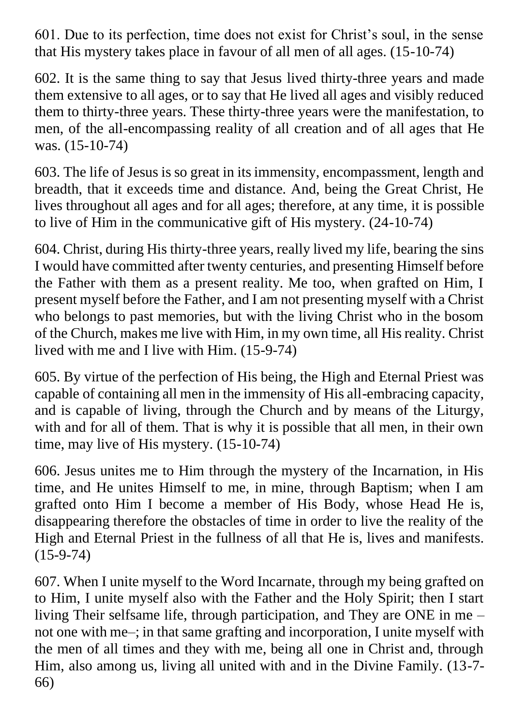601. Due to its perfection, time does not exist for Christ's soul, in the sense that His mystery takes place in favour of all men of all ages. (15-10-74)

602. It is the same thing to say that Jesus lived thirty-three years and made them extensive to all ages, or to say that He lived all ages and visibly reduced them to thirty-three years. These thirty-three years were the manifestation, to men, of the all-encompassing reality of all creation and of all ages that He was. (15-10-74)

603. The life of Jesus is so great in its immensity, encompassment, length and breadth, that it exceeds time and distance. And, being the Great Christ, He lives throughout all ages and for all ages; therefore, at any time, it is possible to live of Him in the communicative gift of His mystery. (24-10-74)

604. Christ, during His thirty-three years, really lived my life, bearing the sins I would have committed after twenty centuries, and presenting Himself before the Father with them as a present reality. Me too, when grafted on Him, I present myself before the Father, and I am not presenting myself with a Christ who belongs to past memories, but with the living Christ who in the bosom of the Church, makes me live with Him, in my own time, all His reality. Christ lived with me and I live with Him. (15-9-74)

605. By virtue of the perfection of His being, the High and Eternal Priest was capable of containing all men in the immensity of His all-embracing capacity, and is capable of living, through the Church and by means of the Liturgy, with and for all of them. That is why it is possible that all men, in their own time, may live of His mystery. (15-10-74)

606. Jesus unites me to Him through the mystery of the Incarnation, in His time, and He unites Himself to me, in mine, through Baptism; when I am grafted onto Him I become a member of His Body, whose Head He is, disappearing therefore the obstacles of time in order to live the reality of the High and Eternal Priest in the fullness of all that He is, lives and manifests. (15-9-74)

607. When I unite myself to the Word Incarnate, through my being grafted on to Him, I unite myself also with the Father and the Holy Spirit; then I start living Their selfsame life, through participation, and They are ONE in me – not one with me–; in that same grafting and incorporation, I unite myself with the men of all times and they with me, being all one in Christ and, through Him, also among us, living all united with and in the Divine Family. (13-7- 66)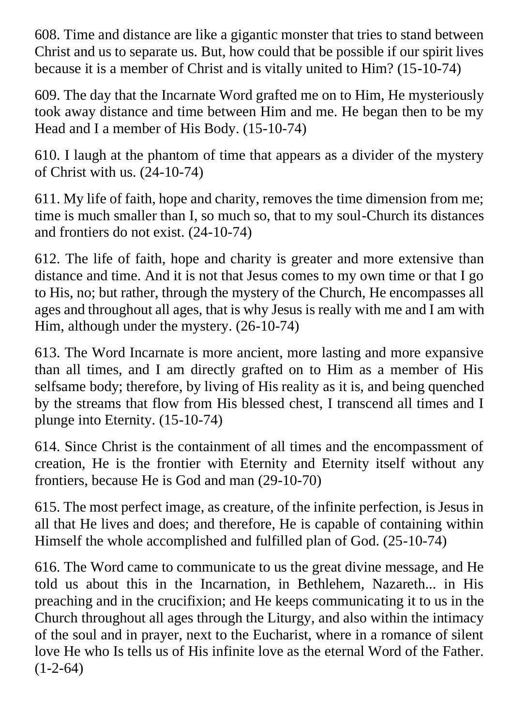608. Time and distance are like a gigantic monster that tries to stand between Christ and us to separate us. But, how could that be possible if our spirit lives because it is a member of Christ and is vitally united to Him? (15-10-74)

609. The day that the Incarnate Word grafted me on to Him, He mysteriously took away distance and time between Him and me. He began then to be my Head and I a member of His Body. (15-10-74)

610. I laugh at the phantom of time that appears as a divider of the mystery of Christ with us. (24-10-74)

611. My life of faith, hope and charity, removes the time dimension from me; time is much smaller than I, so much so, that to my soul-Church its distances and frontiers do not exist. (24-10-74)

612. The life of faith, hope and charity is greater and more extensive than distance and time. And it is not that Jesus comes to my own time or that I go to His, no; but rather, through the mystery of the Church, He encompasses all ages and throughout all ages, that is why Jesus is really with me and I am with Him, although under the mystery. (26-10-74)

613. The Word Incarnate is more ancient, more lasting and more expansive than all times, and I am directly grafted on to Him as a member of His selfsame body; therefore, by living of His reality as it is, and being quenched by the streams that flow from His blessed chest, I transcend all times and I plunge into Eternity. (15-10-74)

614. Since Christ is the containment of all times and the encompassment of creation, He is the frontier with Eternity and Eternity itself without any frontiers, because He is God and man (29-10-70)

615. The most perfect image, as creature, of the infinite perfection, is Jesus in all that He lives and does; and therefore, He is capable of containing within Himself the whole accomplished and fulfilled plan of God. (25-10-74)

616. The Word came to communicate to us the great divine message, and He told us about this in the Incarnation, in Bethlehem, Nazareth... in His preaching and in the crucifixion; and He keeps communicating it to us in the Church throughout all ages through the Liturgy, and also within the intimacy of the soul and in prayer, next to the Eucharist, where in a romance of silent love He who Is tells us of His infinite love as the eternal Word of the Father.  $(1-2-64)$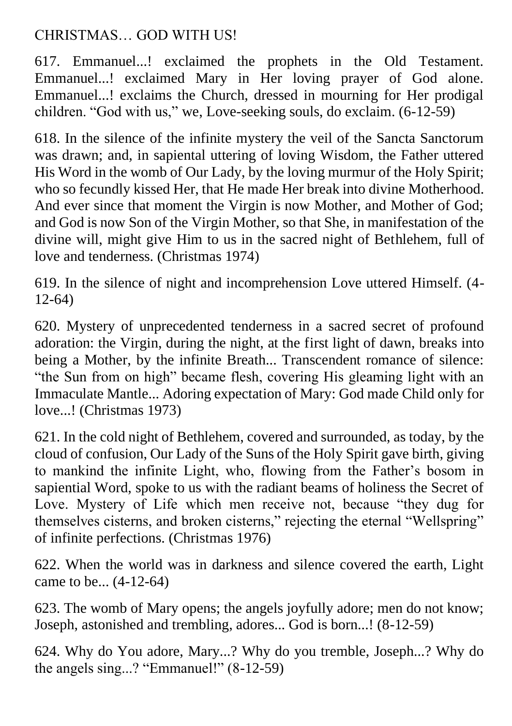### CHRISTMAS… GOD WITH US!

617. Emmanuel...! exclaimed the prophets in the Old Testament. Emmanuel...! exclaimed Mary in Her loving prayer of God alone. Emmanuel...! exclaims the Church, dressed in mourning for Her prodigal children. "God with us," we, Love-seeking souls, do exclaim. (6-12-59)

618. In the silence of the infinite mystery the veil of the Sancta Sanctorum was drawn; and, in sapiental uttering of loving Wisdom, the Father uttered His Word in the womb of Our Lady, by the loving murmur of the Holy Spirit; who so fecundly kissed Her, that He made Her break into divine Motherhood. And ever since that moment the Virgin is now Mother, and Mother of God; and God is now Son of the Virgin Mother, so that She, in manifestation of the divine will, might give Him to us in the sacred night of Bethlehem, full of love and tenderness. (Christmas 1974)

619. In the silence of night and incomprehension Love uttered Himself. (4- 12-64)

620. Mystery of unprecedented tenderness in a sacred secret of profound adoration: the Virgin, during the night, at the first light of dawn, breaks into being a Mother, by the infinite Breath... Transcendent romance of silence: "the Sun from on high" became flesh, covering His gleaming light with an Immaculate Mantle... Adoring expectation of Mary: God made Child only for love...! (Christmas 1973)

621. In the cold night of Bethlehem, covered and surrounded, as today, by the cloud of confusion, Our Lady of the Suns of the Holy Spirit gave birth, giving to mankind the infinite Light, who, flowing from the Father's bosom in sapiential Word, spoke to us with the radiant beams of holiness the Secret of Love. Mystery of Life which men receive not, because "they dug for themselves cisterns, and broken cisterns," rejecting the eternal "Wellspring" of infinite perfections. (Christmas 1976)

622. When the world was in darkness and silence covered the earth, Light came to be... (4-12-64)

623. The womb of Mary opens; the angels joyfully adore; men do not know; Joseph, astonished and trembling, adores... God is born...! (8-12-59)

624. Why do You adore, Mary...? Why do you tremble, Joseph...? Why do the angels sing...? "Emmanuel!" (8-12-59)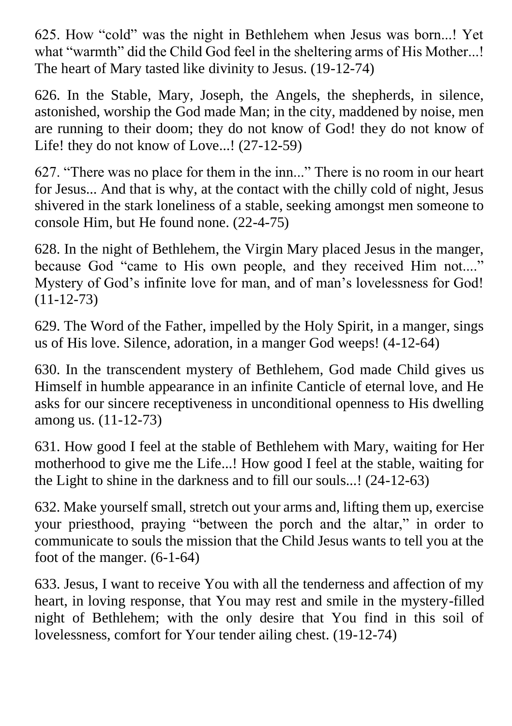625. How "cold" was the night in Bethlehem when Jesus was born...! Yet what "warmth" did the Child God feel in the sheltering arms of His Mother...! The heart of Mary tasted like divinity to Jesus. (19-12-74)

626. In the Stable, Mary, Joseph, the Angels, the shepherds, in silence, astonished, worship the God made Man; in the city, maddened by noise, men are running to their doom; they do not know of God! they do not know of Life! they do not know of Love...! (27-12-59)

627. "There was no place for them in the inn..." There is no room in our heart for Jesus... And that is why, at the contact with the chilly cold of night, Jesus shivered in the stark loneliness of a stable, seeking amongst men someone to console Him, but He found none. (22-4-75)

628. In the night of Bethlehem, the Virgin Mary placed Jesus in the manger, because God "came to His own people, and they received Him not...." Mystery of God's infinite love for man, and of man's lovelessness for God!  $(11-12-73)$ 

629. The Word of the Father, impelled by the Holy Spirit, in a manger, sings us of His love. Silence, adoration, in a manger God weeps! (4-12-64)

630. In the transcendent mystery of Bethlehem, God made Child gives us Himself in humble appearance in an infinite Canticle of eternal love, and He asks for our sincere receptiveness in unconditional openness to His dwelling among us. (11-12-73)

631. How good I feel at the stable of Bethlehem with Mary, waiting for Her motherhood to give me the Life...! How good I feel at the stable, waiting for the Light to shine in the darkness and to fill our souls...! (24-12-63)

632. Make yourself small, stretch out your arms and, lifting them up, exercise your priesthood, praying "between the porch and the altar," in order to communicate to souls the mission that the Child Jesus wants to tell you at the foot of the manger. (6-1-64)

633. Jesus, I want to receive You with all the tenderness and affection of my heart, in loving response, that You may rest and smile in the mystery-filled night of Bethlehem; with the only desire that You find in this soil of lovelessness, comfort for Your tender ailing chest. (19-12-74)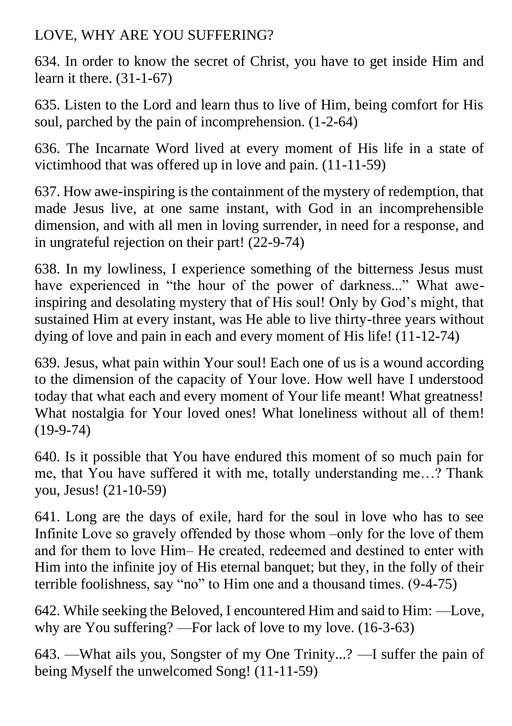## LOVE, WHY ARE YOU SUFFERING?

634. In order to know the secret of Christ, you have to get inside Him and learn it there. (31-1-67)

635. Listen to the Lord and learn thus to live of Him, being comfort for His soul, parched by the pain of incomprehension. (1-2-64)

636. The Incarnate Word lived at every moment of His life in a state of victimhood that was offered up in love and pain. (11-11-59)

637. How awe-inspiring is the containment of the mystery of redemption, that made Jesus live, at one same instant, with God in an incomprehensible dimension, and with all men in loving surrender, in need for a response, and in ungrateful rejection on their part! (22-9-74)

638. In my lowliness, I experience something of the bitterness Jesus must have experienced in "the hour of the power of darkness..." What aweinspiring and desolating mystery that of His soul! Only by God's might, that sustained Him at every instant, was He able to live thirty-three years without dying of love and pain in each and every moment of His life! (11-12-74)

639. Jesus, what pain within Your soul! Each one of us is a wound according to the dimension of the capacity of Your love. How well have I understood today that what each and every moment of Your life meant! What greatness! What nostalgia for Your loved ones! What loneliness without all of them! (19-9-74)

640. Is it possible that You have endured this moment of so much pain for me, that You have suffered it with me, totally understanding me…? Thank you, Jesus! (21-10-59)

641. Long are the days of exile, hard for the soul in love who has to see Infinite Love so gravely offended by those whom –only for the love of them and for them to love Him– He created, redeemed and destined to enter with Him into the infinite joy of His eternal banquet; but they, in the folly of their terrible foolishness, say "no" to Him one and a thousand times. (9-4-75)

642. While seeking the Beloved, I encountered Him and said to Him: —Love, why are You suffering? —For lack of love to my love. (16-3-63)

643. —What ails you, Songster of my One Trinity...? —I suffer the pain of being Myself the unwelcomed Song! (11-11-59)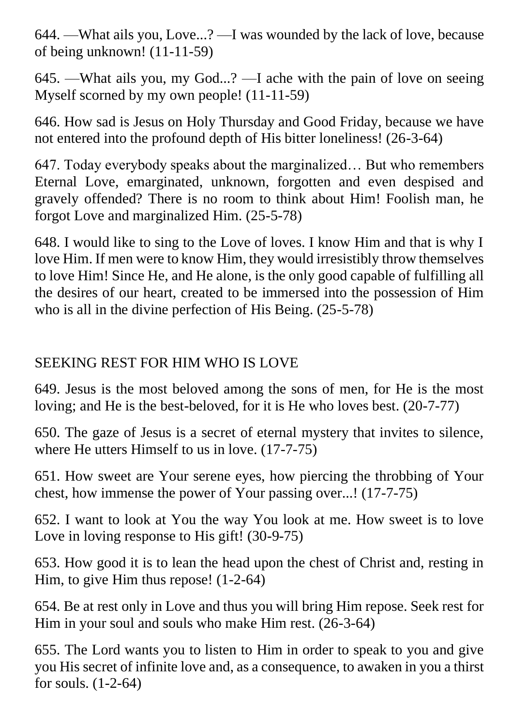644. —What ails you, Love...? —I was wounded by the lack of love, because of being unknown! (11-11-59)

645. —What ails you, my God...? —I ache with the pain of love on seeing Myself scorned by my own people! (11-11-59)

646. How sad is Jesus on Holy Thursday and Good Friday, because we have not entered into the profound depth of His bitter loneliness! (26-3-64)

647. Today everybody speaks about the marginalized… But who remembers Eternal Love, emarginated, unknown, forgotten and even despised and gravely offended? There is no room to think about Him! Foolish man, he forgot Love and marginalized Him. (25-5-78)

648. I would like to sing to the Love of loves. I know Him and that is why I love Him. If men were to know Him, they would irresistibly throw themselves to love Him! Since He, and He alone, is the only good capable of fulfilling all the desires of our heart, created to be immersed into the possession of Him who is all in the divine perfection of His Being. (25-5-78)

### SEEKING REST FOR HIM WHO IS LOVE

649. Jesus is the most beloved among the sons of men, for He is the most loving; and He is the best-beloved, for it is He who loves best. (20-7-77)

650. The gaze of Jesus is a secret of eternal mystery that invites to silence, where He utters Himself to us in love. (17-7-75)

651. How sweet are Your serene eyes, how piercing the throbbing of Your chest, how immense the power of Your passing over...! (17-7-75)

652. I want to look at You the way You look at me. How sweet is to love Love in loving response to His gift! (30-9-75)

653. How good it is to lean the head upon the chest of Christ and, resting in Him, to give Him thus repose! (1-2-64)

654. Be at rest only in Love and thus you will bring Him repose. Seek rest for Him in your soul and souls who make Him rest. (26-3-64)

655. The Lord wants you to listen to Him in order to speak to you and give you His secret of infinite love and, as a consequence, to awaken in you a thirst for souls. (1-2-64)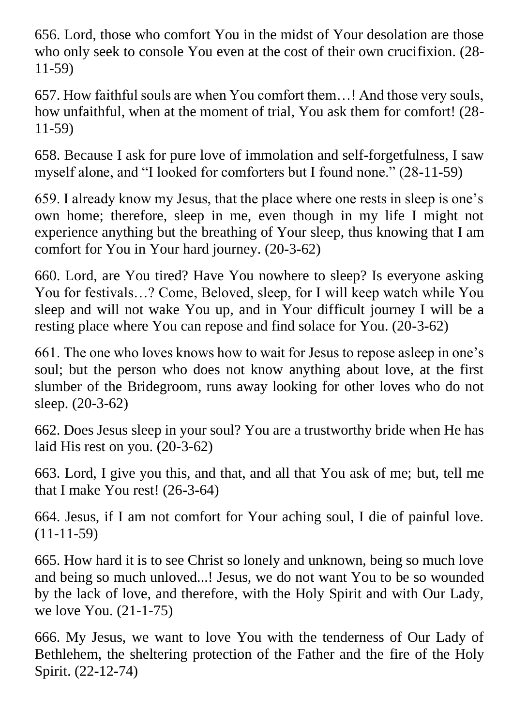656. Lord, those who comfort You in the midst of Your desolation are those who only seek to console You even at the cost of their own crucifixion. (28- 11-59)

657. How faithful souls are when You comfort them…! And those very souls, how unfaithful, when at the moment of trial, You ask them for comfort! (28- 11-59)

658. Because I ask for pure love of immolation and self-forgetfulness, I saw myself alone, and "I looked for comforters but I found none." (28-11-59)

659. I already know my Jesus, that the place where one rests in sleep is one's own home; therefore, sleep in me, even though in my life I might not experience anything but the breathing of Your sleep, thus knowing that I am comfort for You in Your hard journey. (20-3-62)

660. Lord, are You tired? Have You nowhere to sleep? Is everyone asking You for festivals…? Come, Beloved, sleep, for I will keep watch while You sleep and will not wake You up, and in Your difficult journey I will be a resting place where You can repose and find solace for You. (20-3-62)

661. The one who loves knows how to wait for Jesus to repose asleep in one's soul; but the person who does not know anything about love, at the first slumber of the Bridegroom, runs away looking for other loves who do not sleep. (20-3-62)

662. Does Jesus sleep in your soul? You are a trustworthy bride when He has laid His rest on you. (20-3-62)

663. Lord, I give you this, and that, and all that You ask of me; but, tell me that I make You rest! (26-3-64)

664. Jesus, if I am not comfort for Your aching soul, I die of painful love. (11-11-59)

665. How hard it is to see Christ so lonely and unknown, being so much love and being so much unloved...! Jesus, we do not want You to be so wounded by the lack of love, and therefore, with the Holy Spirit and with Our Lady, we love You. (21-1-75)

666. My Jesus, we want to love You with the tenderness of Our Lady of Bethlehem, the sheltering protection of the Father and the fire of the Holy Spirit. (22-12-74)